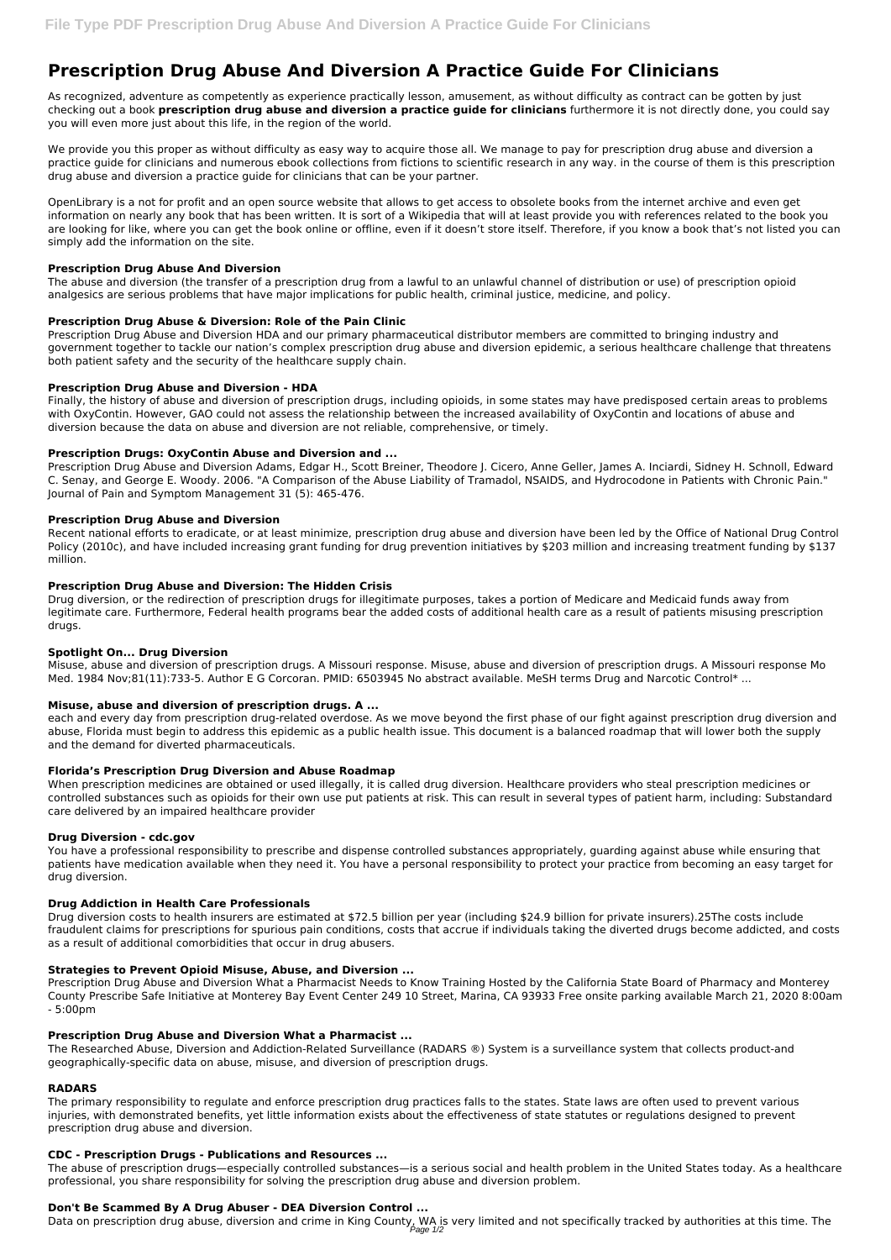# **Prescription Drug Abuse And Diversion A Practice Guide For Clinicians**

As recognized, adventure as competently as experience practically lesson, amusement, as without difficulty as contract can be gotten by just checking out a book **prescription drug abuse and diversion a practice guide for clinicians** furthermore it is not directly done, you could say you will even more just about this life, in the region of the world.

We provide you this proper as without difficulty as easy way to acquire those all. We manage to pay for prescription drug abuse and diversion a practice guide for clinicians and numerous ebook collections from fictions to scientific research in any way. in the course of them is this prescription drug abuse and diversion a practice guide for clinicians that can be your partner.

OpenLibrary is a not for profit and an open source website that allows to get access to obsolete books from the internet archive and even get information on nearly any book that has been written. It is sort of a Wikipedia that will at least provide you with references related to the book you are looking for like, where you can get the book online or offline, even if it doesn't store itself. Therefore, if you know a book that's not listed you can simply add the information on the site.

# **Prescription Drug Abuse And Diversion**

The abuse and diversion (the transfer of a prescription drug from a lawful to an unlawful channel of distribution or use) of prescription opioid analgesics are serious problems that have major implications for public health, criminal justice, medicine, and policy.

# **Prescription Drug Abuse & Diversion: Role of the Pain Clinic**

Prescription Drug Abuse and Diversion HDA and our primary pharmaceutical distributor members are committed to bringing industry and government together to tackle our nation's complex prescription drug abuse and diversion epidemic, a serious healthcare challenge that threatens both patient safety and the security of the healthcare supply chain.

# **Prescription Drug Abuse and Diversion - HDA**

Finally, the history of abuse and diversion of prescription drugs, including opioids, in some states may have predisposed certain areas to problems with OxyContin. However, GAO could not assess the relationship between the increased availability of OxyContin and locations of abuse and diversion because the data on abuse and diversion are not reliable, comprehensive, or timely.

# **Prescription Drugs: OxyContin Abuse and Diversion and ...**

Prescription Drug Abuse and Diversion Adams, Edgar H., Scott Breiner, Theodore J. Cicero, Anne Geller, James A. Inciardi, Sidney H. Schnoll, Edward C. Senay, and George E. Woody. 2006. "A Comparison of the Abuse Liability of Tramadol, NSAIDS, and Hydrocodone in Patients with Chronic Pain." Journal of Pain and Symptom Management 31 (5): 465-476.

## **Prescription Drug Abuse and Diversion**

Recent national efforts to eradicate, or at least minimize, prescription drug abuse and diversion have been led by the Office of National Drug Control Policy (2010c), and have included increasing grant funding for drug prevention initiatives by \$203 million and increasing treatment funding by \$137 million.

## **Prescription Drug Abuse and Diversion: The Hidden Crisis**

Drug diversion, or the redirection of prescription drugs for illegitimate purposes, takes a portion of Medicare and Medicaid funds away from legitimate care. Furthermore, Federal health programs bear the added costs of additional health care as a result of patients misusing prescription drugs.

## **Spotlight On... Drug Diversion**

Misuse, abuse and diversion of prescription drugs. A Missouri response. Misuse, abuse and diversion of prescription drugs. A Missouri response Mo Med. 1984 Nov;81(11):733-5. Author E G Corcoran. PMID: 6503945 No abstract available. MeSH terms Drug and Narcotic Control\* ...

# **Misuse, abuse and diversion of prescription drugs. A ...**

each and every day from prescription drug-related overdose. As we move beyond the first phase of our fight against prescription drug diversion and abuse, Florida must begin to address this epidemic as a public health issue. This document is a balanced roadmap that will lower both the supply and the demand for diverted pharmaceuticals.

## **Florida's Prescription Drug Diversion and Abuse Roadmap**

When prescription medicines are obtained or used illegally, it is called drug diversion. Healthcare providers who steal prescription medicines or controlled substances such as opioids for their own use put patients at risk. This can result in several types of patient harm, including: Substandard care delivered by an impaired healthcare provider

## **Drug Diversion - cdc.gov**

You have a professional responsibility to prescribe and dispense controlled substances appropriately, guarding against abuse while ensuring that patients have medication available when they need it. You have a personal responsibility to protect your practice from becoming an easy target for drug diversion.

## **Drug Addiction in Health Care Professionals**

Drug diversion costs to health insurers are estimated at \$72.5 billion per year (including \$24.9 billion for private insurers).25The costs include fraudulent claims for prescriptions for spurious pain conditions, costs that accrue if individuals taking the diverted drugs become addicted, and costs as a result of additional comorbidities that occur in drug abusers.

#### **Strategies to Prevent Opioid Misuse, Abuse, and Diversion ...**

Prescription Drug Abuse and Diversion What a Pharmacist Needs to Know Training Hosted by the California State Board of Pharmacy and Monterey County Prescribe Safe Initiative at Monterey Bay Event Center 249 10 Street, Marina, CA 93933 Free onsite parking available March 21, 2020 8:00am - 5:00pm

#### **Prescription Drug Abuse and Diversion What a Pharmacist ...**

The Researched Abuse, Diversion and Addiction-Related Surveillance (RADARS ®) System is a surveillance system that collects product-and geographically-specific data on abuse, misuse, and diversion of prescription drugs.

#### **RADARS**

The primary responsibility to regulate and enforce prescription drug practices falls to the states. State laws are often used to prevent various injuries, with demonstrated benefits, yet little information exists about the effectiveness of state statutes or regulations designed to prevent prescription drug abuse and diversion.

#### **CDC - Prescription Drugs - Publications and Resources ...**

The abuse of prescription drugs—especially controlled substances—is a serious social and health problem in the United States today. As a healthcare professional, you share responsibility for solving the prescription drug abuse and diversion problem.

#### **Don't Be Scammed By A Drug Abuser - DEA Diversion Control ...**

Data on prescription drug abuse, diversion and crime in King County, WA is very limited and not specifically tracked by authorities at this time. The<br>Page 1/2